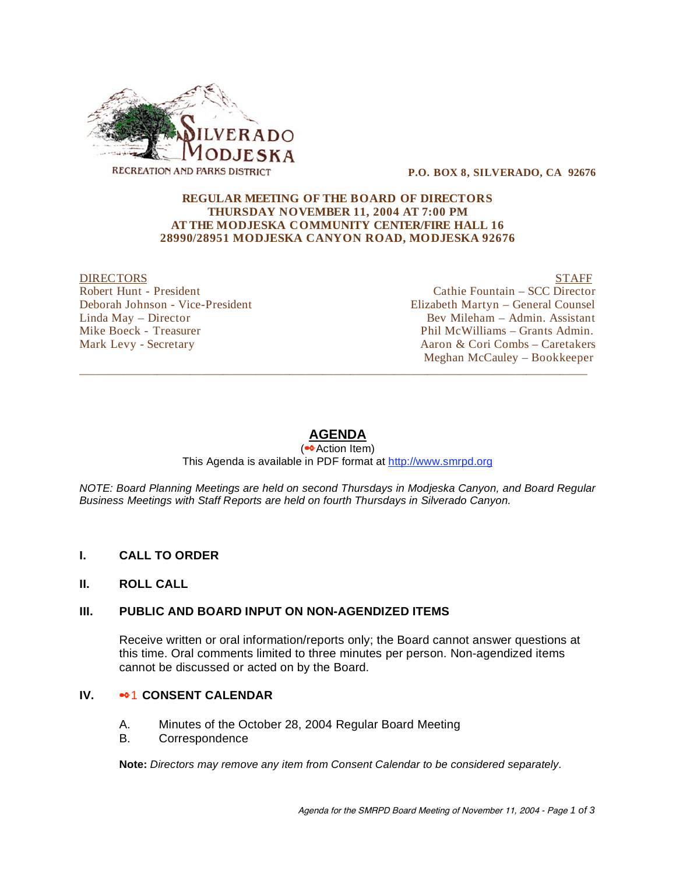

 **P.O. BOX 8, SILVERADO, CA 92676** 

#### **REGULAR MEETING OF THE BOARD OF DIRECTORS THURSDAY NOVEMBER 11, 2004 AT 7:00 PM AT THE MODJESKA COMMUNITY CENTER/FIRE HALL 16 28990/28951 MODJESKA CANYON ROAD, MODJESKA 92676**

DIRECTORS STAFF Robert Hunt - President Cathie Fountain – SCC Director Deborah Johnson - Vice-President Elizabeth Martyn – General Counsel Linda May – Director Bev Mileham – Admin. Assistant Mike Boeck - Treasurer **Phil McWilliams** – Grants Admin. Mark Levy - Secretary Aaron & Cori Combs – Caretakers

Meghan McCauley – Bookkeeper

### **AGENDA**

\_\_\_\_\_\_\_\_\_\_\_\_\_\_\_\_\_\_\_\_\_\_\_\_\_\_\_\_\_\_\_\_\_\_\_\_\_\_\_\_\_\_\_\_\_\_\_\_\_\_\_\_\_\_\_\_\_\_\_\_\_\_\_\_\_\_\_\_\_\_\_\_\_\_\_\_\_\_\_\_\_\_\_\_\_\_\_\_\_\_\_\_

(<sup>●◆</sup>Action Item)

This Agenda is available in PDF format at http://www.smrpd.org

*NOTE: Board Planning Meetings are held on second Thursdays in Modjeska Canyon, and Board Regular Business Meetings with Staff Reports are held on fourth Thursdays in Silverado Canyon.* 

- **I. CALL TO ORDER**
- **II. ROLL CALL**

### **III. PUBLIC AND BOARD INPUT ON NON-AGENDIZED ITEMS**

Receive written or oral information/reports only; the Board cannot answer questions at this time. Oral comments limited to three minutes per person. Non-agendized items cannot be discussed or acted on by the Board.

### **IV.**  $\bullet$ <sup>2</sup> CONSENT CALENDAR

- A. Minutes of the October 28, 2004 Regular Board Meeting
- B. Correspondence

**Note:** *Directors may remove any item from Consent Calendar to be considered separately.*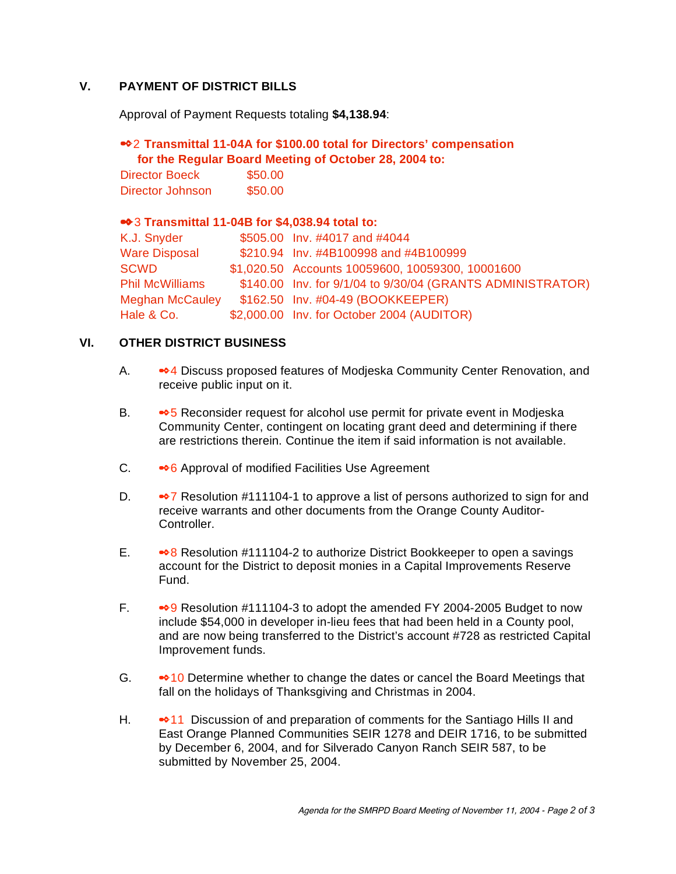# **V. PAYMENT OF DISTRICT BILLS**

Approval of Payment Requests totaling **\$4,138.94**:

## 2 **Transmittal 11-04A for \$100.00 total for Directors' compensation for the Regular Board Meeting of October 28, 2004 to:**

| Director Boeck   | \$50.00 |
|------------------|---------|
| Director Johnson | \$50.00 |

## 3 **Transmittal 11-04B for \$4,038.94 total to:**

| K.J. Snyder            | \$505.00 Inv. #4017 and #4044                              |
|------------------------|------------------------------------------------------------|
| <b>Ware Disposal</b>   | \$210.94 Inv. #4B100998 and #4B100999                      |
| SCWD                   | \$1,020.50 Accounts 10059600, 10059300, 10001600           |
| <b>Phil McWilliams</b> | \$140.00 Inv. for 9/1/04 to 9/30/04 (GRANTS ADMINISTRATOR) |
| <b>Meghan McCauley</b> | \$162.50 Inv. #04-49 (BOOKKEEPER)                          |
| Hale & Co.             | \$2,000.00 Inv. for October 2004 (AUDITOR)                 |
|                        |                                                            |

## **VI. OTHER DISTRICT BUSINESS**

- A.  $\bullet$  4 Discuss proposed features of Modjeska Community Center Renovation, and receive public input on it.
- B.  $\bullet$  5 Reconsider request for alcohol use permit for private event in Modjeska Community Center, contingent on locating grant deed and determining if there are restrictions therein. Continue the item if said information is not available.
- C. 6 Approval of modified Facilities Use Agreement
- D.  $\bullet$  7 Resolution #111104-1 to approve a list of persons authorized to sign for and receive warrants and other documents from the Orange County Auditor-Controller.
- E.  $\bullet$  8 Resolution #111104-2 to authorize District Bookkeeper to open a savings account for the District to deposit monies in a Capital Improvements Reserve Fund.
- F.  $\bullet$  9 Resolution #111104-3 to adopt the amended FY 2004-2005 Budget to now include \$54,000 in developer in-lieu fees that had been held in a County pool, and are now being transferred to the District's account #728 as restricted Capital Improvement funds.
- G.  $\bullet$  10 Determine whether to change the dates or cancel the Board Meetings that fall on the holidays of Thanksgiving and Christmas in 2004.
- H.  $\bullet$  11 Discussion of and preparation of comments for the Santiago Hills II and East Orange Planned Communities SEIR 1278 and DEIR 1716, to be submitted by December 6, 2004, and for Silverado Canyon Ranch SEIR 587, to be submitted by November 25, 2004.